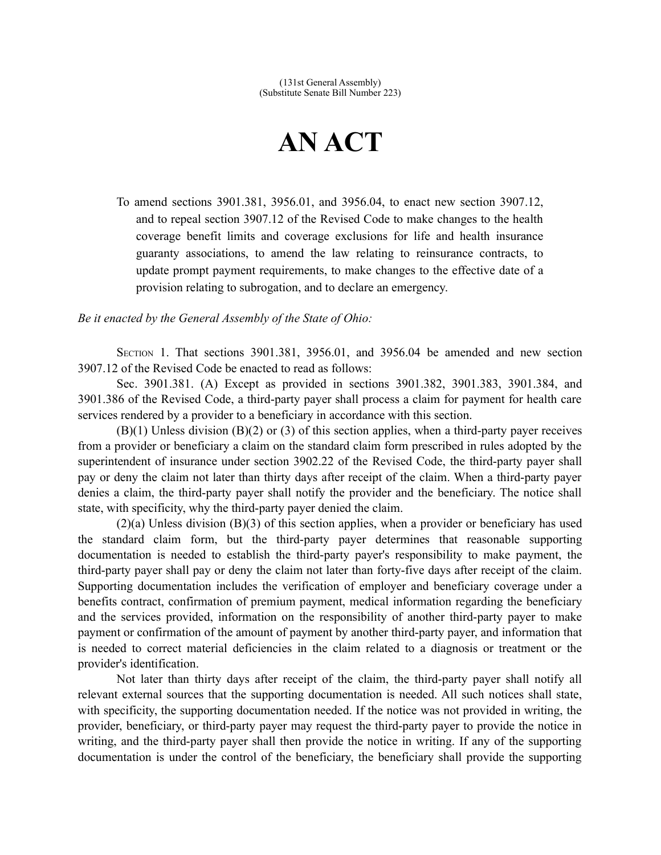## **AN ACT**

To amend sections 3901.381, 3956.01, and 3956.04, to enact new section 3907.12, and to repeal section 3907.12 of the Revised Code to make changes to the health coverage benefit limits and coverage exclusions for life and health insurance guaranty associations, to amend the law relating to reinsurance contracts, to update prompt payment requirements, to make changes to the effective date of a provision relating to subrogation, and to declare an emergency.

## *Be it enacted by the General Assembly of the State of Ohio:*

SECTION 1. That sections 3901.381, 3956.01, and 3956.04 be amended and new section 3907.12 of the Revised Code be enacted to read as follows:

Sec. 3901.381. (A) Except as provided in sections 3901.382, 3901.383, 3901.384, and 3901.386 of the Revised Code, a third-party payer shall process a claim for payment for health care services rendered by a provider to a beneficiary in accordance with this section.

 $(B)(1)$  Unless division  $(B)(2)$  or  $(3)$  of this section applies, when a third-party payer receives from a provider or beneficiary a claim on the standard claim form prescribed in rules adopted by the superintendent of insurance under section 3902.22 of the Revised Code, the third-party payer shall pay or deny the claim not later than thirty days after receipt of the claim. When a third-party payer denies a claim, the third-party payer shall notify the provider and the beneficiary. The notice shall state, with specificity, why the third-party payer denied the claim.

 $(2)(a)$  Unless division  $(B)(3)$  of this section applies, when a provider or beneficiary has used the standard claim form, but the third-party payer determines that reasonable supporting documentation is needed to establish the third-party payer's responsibility to make payment, the third-party payer shall pay or deny the claim not later than forty-five days after receipt of the claim. Supporting documentation includes the verification of employer and beneficiary coverage under a benefits contract, confirmation of premium payment, medical information regarding the beneficiary and the services provided, information on the responsibility of another third-party payer to make payment or confirmation of the amount of payment by another third-party payer, and information that is needed to correct material deficiencies in the claim related to a diagnosis or treatment or the provider's identification.

Not later than thirty days after receipt of the claim, the third-party payer shall notify all relevant external sources that the supporting documentation is needed. All such notices shall state, with specificity, the supporting documentation needed. If the notice was not provided in writing, the provider, beneficiary, or third-party payer may request the third-party payer to provide the notice in writing, and the third-party payer shall then provide the notice in writing. If any of the supporting documentation is under the control of the beneficiary, the beneficiary shall provide the supporting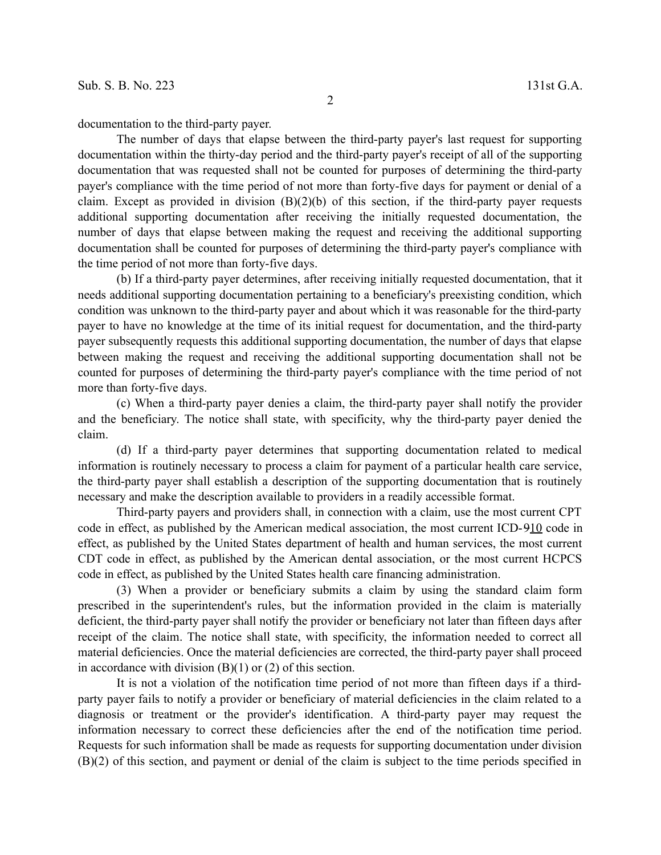documentation to the third-party payer.

The number of days that elapse between the third-party payer's last request for supporting documentation within the thirty-day period and the third-party payer's receipt of all of the supporting documentation that was requested shall not be counted for purposes of determining the third-party payer's compliance with the time period of not more than forty-five days for payment or denial of a claim. Except as provided in division  $(B)(2)(b)$  of this section, if the third-party payer requests additional supporting documentation after receiving the initially requested documentation, the number of days that elapse between making the request and receiving the additional supporting documentation shall be counted for purposes of determining the third-party payer's compliance with the time period of not more than forty-five days.

(b) If a third-party payer determines, after receiving initially requested documentation, that it needs additional supporting documentation pertaining to a beneficiary's preexisting condition, which condition was unknown to the third-party payer and about which it was reasonable for the third-party payer to have no knowledge at the time of its initial request for documentation, and the third-party payer subsequently requests this additional supporting documentation, the number of days that elapse between making the request and receiving the additional supporting documentation shall not be counted for purposes of determining the third-party payer's compliance with the time period of not more than forty-five days.

(c) When a third-party payer denies a claim, the third-party payer shall notify the provider and the beneficiary. The notice shall state, with specificity, why the third-party payer denied the claim.

(d) If a third-party payer determines that supporting documentation related to medical information is routinely necessary to process a claim for payment of a particular health care service, the third-party payer shall establish a description of the supporting documentation that is routinely necessary and make the description available to providers in a readily accessible format.

Third-party payers and providers shall, in connection with a claim, use the most current CPT code in effect, as published by the American medical association, the most current ICD-910 code in effect, as published by the United States department of health and human services, the most current CDT code in effect, as published by the American dental association, or the most current HCPCS code in effect, as published by the United States health care financing administration.

(3) When a provider or beneficiary submits a claim by using the standard claim form prescribed in the superintendent's rules, but the information provided in the claim is materially deficient, the third-party payer shall notify the provider or beneficiary not later than fifteen days after receipt of the claim. The notice shall state, with specificity, the information needed to correct all material deficiencies. Once the material deficiencies are corrected, the third-party payer shall proceed in accordance with division  $(B)(1)$  or  $(2)$  of this section.

It is not a violation of the notification time period of not more than fifteen days if a thirdparty payer fails to notify a provider or beneficiary of material deficiencies in the claim related to a diagnosis or treatment or the provider's identification. A third-party payer may request the information necessary to correct these deficiencies after the end of the notification time period. Requests for such information shall be made as requests for supporting documentation under division (B)(2) of this section, and payment or denial of the claim is subject to the time periods specified in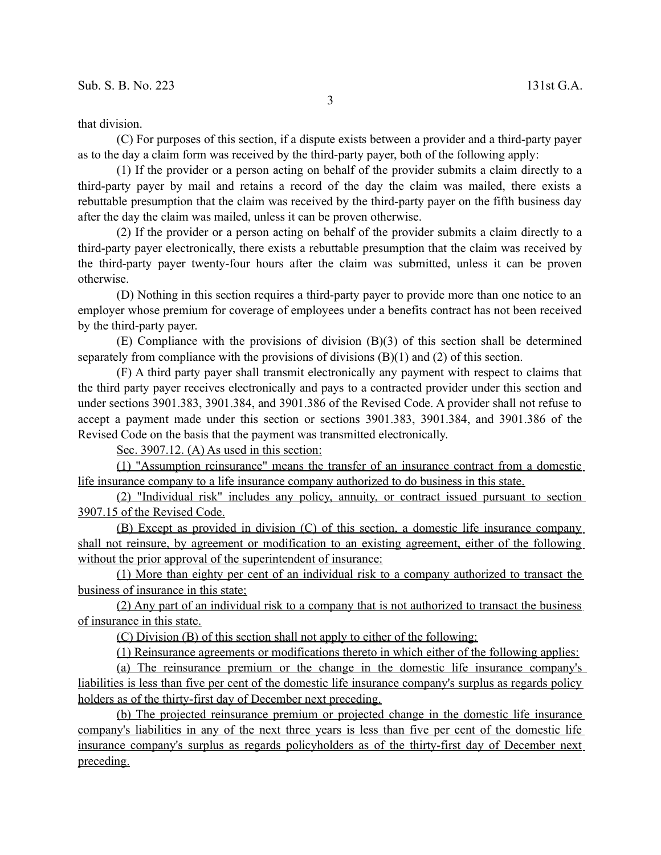that division.

(C) For purposes of this section, if a dispute exists between a provider and a third-party payer as to the day a claim form was received by the third-party payer, both of the following apply:

(1) If the provider or a person acting on behalf of the provider submits a claim directly to a third-party payer by mail and retains a record of the day the claim was mailed, there exists a rebuttable presumption that the claim was received by the third-party payer on the fifth business day after the day the claim was mailed, unless it can be proven otherwise.

(2) If the provider or a person acting on behalf of the provider submits a claim directly to a third-party payer electronically, there exists a rebuttable presumption that the claim was received by the third-party payer twenty-four hours after the claim was submitted, unless it can be proven otherwise.

(D) Nothing in this section requires a third-party payer to provide more than one notice to an employer whose premium for coverage of employees under a benefits contract has not been received by the third-party payer.

(E) Compliance with the provisions of division (B)(3) of this section shall be determined separately from compliance with the provisions of divisions (B)(1) and (2) of this section.

(F) A third party payer shall transmit electronically any payment with respect to claims that the third party payer receives electronically and pays to a contracted provider under this section and under sections 3901.383, 3901.384, and 3901.386 of the Revised Code. A provider shall not refuse to accept a payment made under this section or sections 3901.383, 3901.384, and 3901.386 of the Revised Code on the basis that the payment was transmitted electronically.

Sec. 3907.12. (A) As used in this section:

(1) "Assumption reinsurance" means the transfer of an insurance contract from a domestic life insurance company to a life insurance company authorized to do business in this state.

(2) "Individual risk" includes any policy, annuity, or contract issued pursuant to section 3907.15 of the Revised Code.

(B) Except as provided in division (C) of this section, a domestic life insurance company shall not reinsure, by agreement or modification to an existing agreement, either of the following without the prior approval of the superintendent of insurance:

(1) More than eighty per cent of an individual risk to a company authorized to transact the business of insurance in this state;

(2) Any part of an individual risk to a company that is not authorized to transact the business of insurance in this state.

(C) Division (B) of this section shall not apply to either of the following:

(1) Reinsurance agreements or modifications thereto in which either of the following applies:

(a) The reinsurance premium or the change in the domestic life insurance company's liabilities is less than five per cent of the domestic life insurance company's surplus as regards policy holders as of the thirty-first day of December next preceding.

(b) The projected reinsurance premium or projected change in the domestic life insurance company's liabilities in any of the next three years is less than five per cent of the domestic life insurance company's surplus as regards policyholders as of the thirty-first day of December next preceding.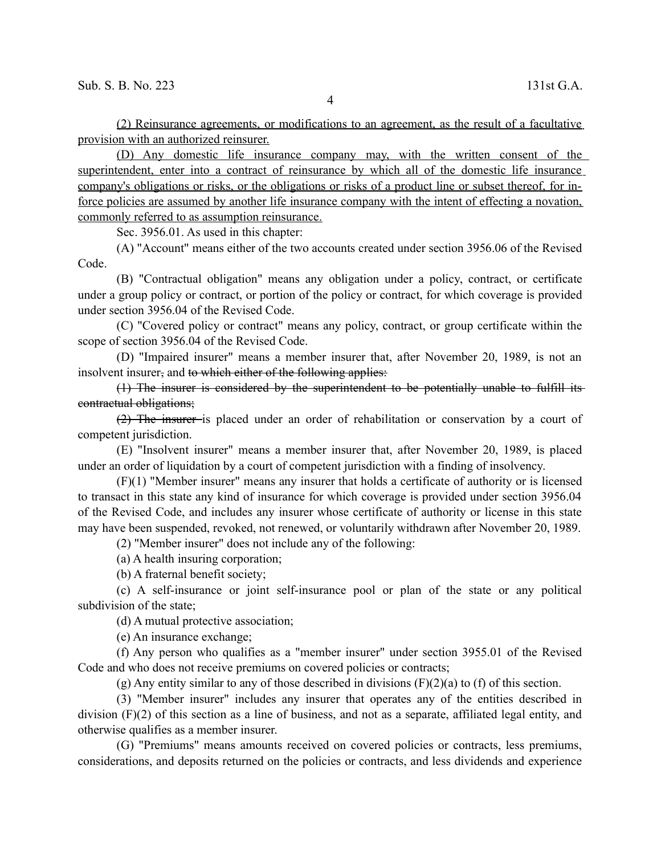(2) Reinsurance agreements, or modifications to an agreement, as the result of a facultative provision with an authorized reinsurer.

(D) Any domestic life insurance company may, with the written consent of the superintendent, enter into a contract of reinsurance by which all of the domestic life insurance company's obligations or risks, or the obligations or risks of a product line or subset thereof, for inforce policies are assumed by another life insurance company with the intent of effecting a novation, commonly referred to as assumption reinsurance.

Sec. 3956.01. As used in this chapter:

(A) "Account" means either of the two accounts created under section 3956.06 of the Revised Code.

(B) "Contractual obligation" means any obligation under a policy, contract, or certificate under a group policy or contract, or portion of the policy or contract, for which coverage is provided under section 3956.04 of the Revised Code.

(C) "Covered policy or contract" means any policy, contract, or group certificate within the scope of section 3956.04 of the Revised Code.

(D) "Impaired insurer" means a member insurer that, after November 20, 1989, is not an insolvent insurer, and to which either of the following applies:

(1) The insurer is considered by the superintendent to be potentially unable to fulfill its contractual obligations;

(2) The insurer is placed under an order of rehabilitation or conservation by a court of competent jurisdiction.

(E) "Insolvent insurer" means a member insurer that, after November 20, 1989, is placed under an order of liquidation by a court of competent jurisdiction with a finding of insolvency.

(F)(1) "Member insurer" means any insurer that holds a certificate of authority or is licensed to transact in this state any kind of insurance for which coverage is provided under section 3956.04 of the Revised Code, and includes any insurer whose certificate of authority or license in this state may have been suspended, revoked, not renewed, or voluntarily withdrawn after November 20, 1989.

(2) "Member insurer" does not include any of the following:

(a) A health insuring corporation;

(b) A fraternal benefit society;

(c) A self-insurance or joint self-insurance pool or plan of the state or any political subdivision of the state;

(d) A mutual protective association;

(e) An insurance exchange;

(f) Any person who qualifies as a "member insurer" under section 3955.01 of the Revised Code and who does not receive premiums on covered policies or contracts;

(g) Any entity similar to any of those described in divisions (F)(2)(a) to (f) of this section.

(3) "Member insurer" includes any insurer that operates any of the entities described in division (F)(2) of this section as a line of business, and not as a separate, affiliated legal entity, and otherwise qualifies as a member insurer.

(G) "Premiums" means amounts received on covered policies or contracts, less premiums, considerations, and deposits returned on the policies or contracts, and less dividends and experience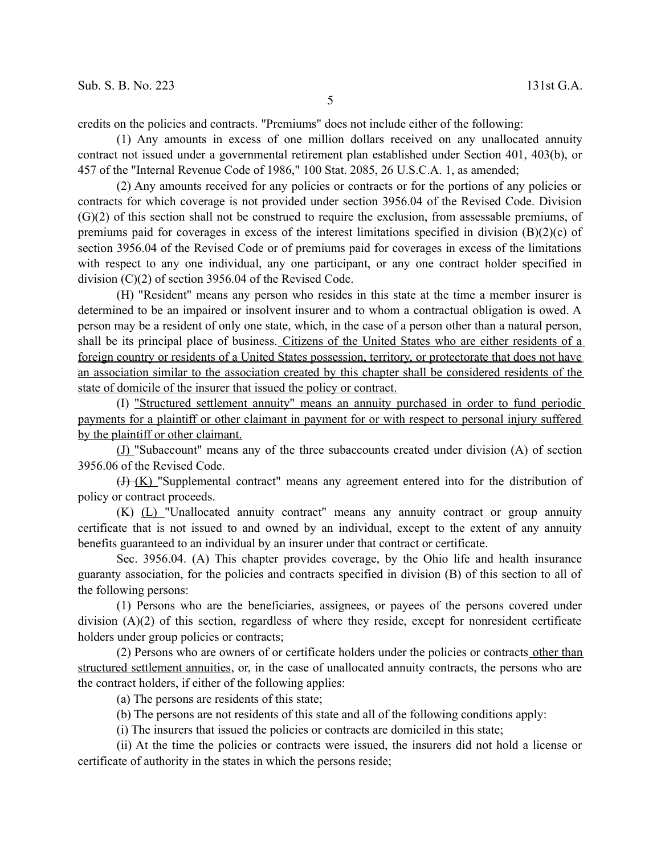credits on the policies and contracts. "Premiums" does not include either of the following:

(1) Any amounts in excess of one million dollars received on any unallocated annuity contract not issued under a governmental retirement plan established under Section 401, 403(b), or 457 of the "Internal Revenue Code of 1986," 100 Stat. 2085, 26 U.S.C.A. 1, as amended;

(2) Any amounts received for any policies or contracts or for the portions of any policies or contracts for which coverage is not provided under section 3956.04 of the Revised Code. Division (G)(2) of this section shall not be construed to require the exclusion, from assessable premiums, of premiums paid for coverages in excess of the interest limitations specified in division  $(B)(2)(c)$  of section 3956.04 of the Revised Code or of premiums paid for coverages in excess of the limitations with respect to any one individual, any one participant, or any one contract holder specified in division (C)(2) of section 3956.04 of the Revised Code.

(H) "Resident" means any person who resides in this state at the time a member insurer is determined to be an impaired or insolvent insurer and to whom a contractual obligation is owed. A person may be a resident of only one state, which, in the case of a person other than a natural person, shall be its principal place of business. Citizens of the United States who are either residents of a foreign country or residents of a United States possession, territory, or protectorate that does not have an association similar to the association created by this chapter shall be considered residents of the state of domicile of the insurer that issued the policy or contract.

(I) "Structured settlement annuity" means an annuity purchased in order to fund periodic payments for a plaintiff or other claimant in payment for or with respect to personal injury suffered by the plaintiff or other claimant.

(J) "Subaccount" means any of the three subaccounts created under division (A) of section 3956.06 of the Revised Code.

 $(H-(K))$  "Supplemental contract" means any agreement entered into for the distribution of policy or contract proceeds.

 $(K)$   $(L)$  "Unallocated annuity contract" means any annuity contract or group annuity certificate that is not issued to and owned by an individual, except to the extent of any annuity benefits guaranteed to an individual by an insurer under that contract or certificate.

Sec. 3956.04. (A) This chapter provides coverage, by the Ohio life and health insurance guaranty association, for the policies and contracts specified in division (B) of this section to all of the following persons:

(1) Persons who are the beneficiaries, assignees, or payees of the persons covered under division (A)(2) of this section, regardless of where they reside, except for nonresident certificate holders under group policies or contracts;

(2) Persons who are owners of or certificate holders under the policies or contracts other than structured settlement annuities, or, in the case of unallocated annuity contracts, the persons who are the contract holders, if either of the following applies:

(a) The persons are residents of this state;

(b) The persons are not residents of this state and all of the following conditions apply:

(i) The insurers that issued the policies or contracts are domiciled in this state;

(ii) At the time the policies or contracts were issued, the insurers did not hold a license or certificate of authority in the states in which the persons reside;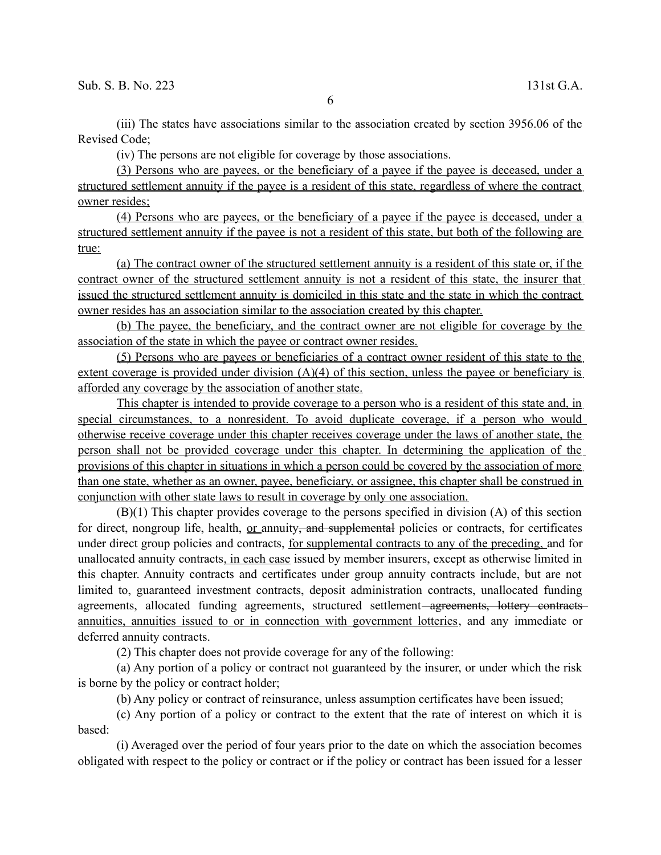(iii) The states have associations similar to the association created by section 3956.06 of the Revised Code;

(iv) The persons are not eligible for coverage by those associations.

(3) Persons who are payees, or the beneficiary of a payee if the payee is deceased, under a structured settlement annuity if the payee is a resident of this state, regardless of where the contract owner resides;

(4) Persons who are payees, or the beneficiary of a payee if the payee is deceased, under a structured settlement annuity if the payee is not a resident of this state, but both of the following are true:

(a) The contract owner of the structured settlement annuity is a resident of this state or, if the contract owner of the structured settlement annuity is not a resident of this state, the insurer that issued the structured settlement annuity is domiciled in this state and the state in which the contract owner resides has an association similar to the association created by this chapter.

(b) The payee, the beneficiary, and the contract owner are not eligible for coverage by the association of the state in which the payee or contract owner resides.

(5) Persons who are payees or beneficiaries of a contract owner resident of this state to the extent coverage is provided under division  $(A)(4)$  of this section, unless the payee or beneficiary is afforded any coverage by the association of another state.

This chapter is intended to provide coverage to a person who is a resident of this state and, in special circumstances, to a nonresident. To avoid duplicate coverage, if a person who would otherwise receive coverage under this chapter receives coverage under the laws of another state, the person shall not be provided coverage under this chapter. In determining the application of the provisions of this chapter in situations in which a person could be covered by the association of more than one state, whether as an owner, payee, beneficiary, or assignee, this chapter shall be construed in conjunction with other state laws to result in coverage by only one association.

(B)(1) This chapter provides coverage to the persons specified in division (A) of this section for direct, nongroup life, health, <u>or annuity<del>, and supplemental</del></u> policies or contracts, for certificates under direct group policies and contracts, for supplemental contracts to any of the preceding, and for unallocated annuity contracts, in each case issued by member insurers, except as otherwise limited in this chapter. Annuity contracts and certificates under group annuity contracts include, but are not limited to, guaranteed investment contracts, deposit administration contracts, unallocated funding agreements, allocated funding agreements, structured settlement-agreements, lottery contractsannuities, annuities issued to or in connection with government lotteries, and any immediate or deferred annuity contracts.

(2) This chapter does not provide coverage for any of the following:

(a) Any portion of a policy or contract not guaranteed by the insurer, or under which the risk is borne by the policy or contract holder;

(b) Any policy or contract of reinsurance, unless assumption certificates have been issued;

(c) Any portion of a policy or contract to the extent that the rate of interest on which it is based:

(i) Averaged over the period of four years prior to the date on which the association becomes obligated with respect to the policy or contract or if the policy or contract has been issued for a lesser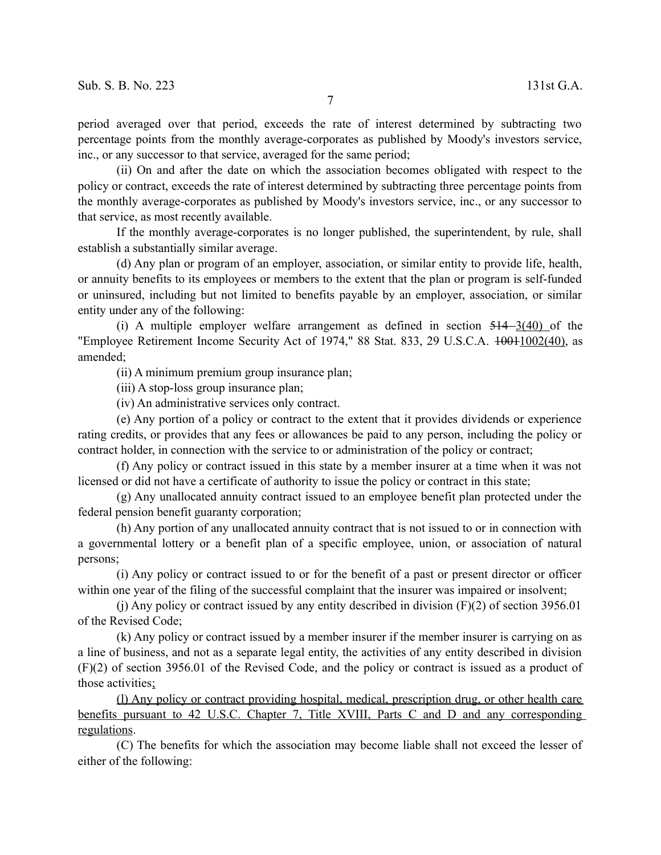period averaged over that period, exceeds the rate of interest determined by subtracting two percentage points from the monthly average-corporates as published by Moody's investors service, inc., or any successor to that service, averaged for the same period;

(ii) On and after the date on which the association becomes obligated with respect to the policy or contract, exceeds the rate of interest determined by subtracting three percentage points from the monthly average-corporates as published by Moody's investors service, inc., or any successor to that service, as most recently available.

If the monthly average-corporates is no longer published, the superintendent, by rule, shall establish a substantially similar average.

(d) Any plan or program of an employer, association, or similar entity to provide life, health, or annuity benefits to its employees or members to the extent that the plan or program is self-funded or uninsured, including but not limited to benefits payable by an employer, association, or similar entity under any of the following:

(i) A multiple employer welfare arrangement as defined in section  $514 - 3(40)$  of the "Employee Retirement Income Security Act of 1974," 88 Stat. 833, 29 U.S.C.A.  $\frac{10011002(40)}{1002(40)}$ , as amended;

(ii) A minimum premium group insurance plan;

(iii) A stop-loss group insurance plan;

(iv) An administrative services only contract.

(e) Any portion of a policy or contract to the extent that it provides dividends or experience rating credits, or provides that any fees or allowances be paid to any person, including the policy or contract holder, in connection with the service to or administration of the policy or contract;

(f) Any policy or contract issued in this state by a member insurer at a time when it was not licensed or did not have a certificate of authority to issue the policy or contract in this state;

(g) Any unallocated annuity contract issued to an employee benefit plan protected under the federal pension benefit guaranty corporation;

(h) Any portion of any unallocated annuity contract that is not issued to or in connection with a governmental lottery or a benefit plan of a specific employee, union, or association of natural persons;

(i) Any policy or contract issued to or for the benefit of a past or present director or officer within one year of the filing of the successful complaint that the insurer was impaired or insolvent;

(j) Any policy or contract issued by any entity described in division  $(F)(2)$  of section 3956.01 of the Revised Code;

(k) Any policy or contract issued by a member insurer if the member insurer is carrying on as a line of business, and not as a separate legal entity, the activities of any entity described in division (F)(2) of section 3956.01 of the Revised Code, and the policy or contract is issued as a product of those activities;

(l) Any policy or contract providing hospital, medical, prescription drug, or other health care benefits pursuant to 42 U.S.C. Chapter 7, Title XVIII, Parts C and D and any corresponding regulations.

(C) The benefits for which the association may become liable shall not exceed the lesser of either of the following: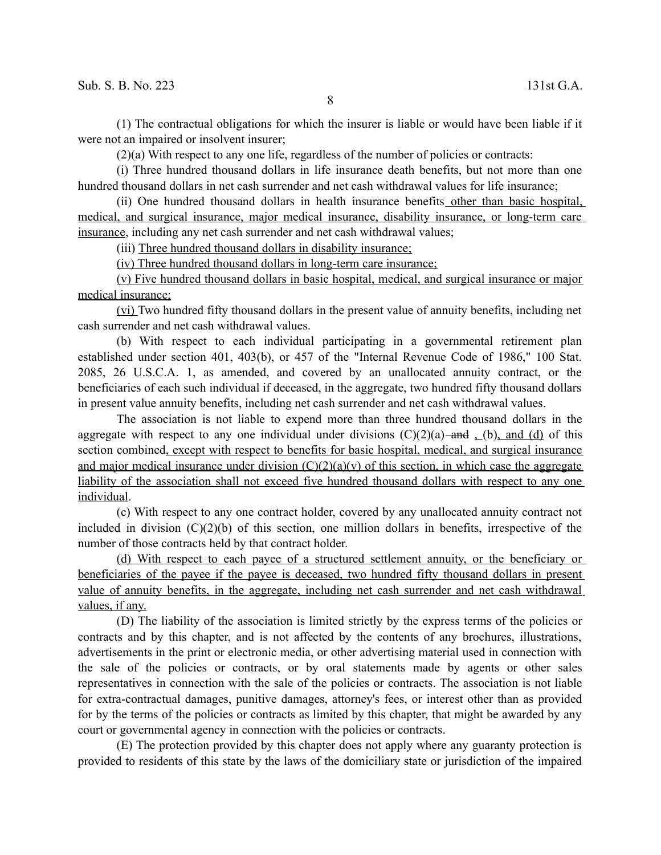(1) The contractual obligations for which the insurer is liable or would have been liable if it were not an impaired or insolvent insurer;

(2)(a) With respect to any one life, regardless of the number of policies or contracts:

(i) Three hundred thousand dollars in life insurance death benefits, but not more than one hundred thousand dollars in net cash surrender and net cash withdrawal values for life insurance;

(ii) One hundred thousand dollars in health insurance benefits other than basic hospital, medical, and surgical insurance, major medical insurance, disability insurance, or long-term care insurance, including any net cash surrender and net cash withdrawal values;

(iii) Three hundred thousand dollars in disability insurance;

(iv) Three hundred thousand dollars in long-term care insurance;

(v) Five hundred thousand dollars in basic hospital, medical, and surgical insurance or major medical insurance;

(vi) Two hundred fifty thousand dollars in the present value of annuity benefits, including net cash surrender and net cash withdrawal values.

(b) With respect to each individual participating in a governmental retirement plan established under section 401, 403(b), or 457 of the "Internal Revenue Code of 1986," 100 Stat. 2085, 26 U.S.C.A. 1, as amended, and covered by an unallocated annuity contract, or the beneficiaries of each such individual if deceased, in the aggregate, two hundred fifty thousand dollars in present value annuity benefits, including net cash surrender and net cash withdrawal values.

The association is not liable to expend more than three hundred thousand dollars in the aggregate with respect to any one individual under divisions  $(C)(2)(a)$  and  $(d)$  of this section combined, except with respect to benefits for basic hospital, medical, and surgical insurance and major medical insurance under division  $(C)(2)(a)(v)$  of this section, in which case the aggregate liability of the association shall not exceed five hundred thousand dollars with respect to any one individual.

(c) With respect to any one contract holder, covered by any unallocated annuity contract not included in division  $(C)(2)(b)$  of this section, one million dollars in benefits, irrespective of the number of those contracts held by that contract holder.

(d) With respect to each payee of a structured settlement annuity, or the beneficiary or beneficiaries of the payee if the payee is deceased, two hundred fifty thousand dollars in present value of annuity benefits, in the aggregate, including net cash surrender and net cash withdrawal values, if any.

(D) The liability of the association is limited strictly by the express terms of the policies or contracts and by this chapter, and is not affected by the contents of any brochures, illustrations, advertisements in the print or electronic media, or other advertising material used in connection with the sale of the policies or contracts, or by oral statements made by agents or other sales representatives in connection with the sale of the policies or contracts. The association is not liable for extra-contractual damages, punitive damages, attorney's fees, or interest other than as provided for by the terms of the policies or contracts as limited by this chapter, that might be awarded by any court or governmental agency in connection with the policies or contracts.

(E) The protection provided by this chapter does not apply where any guaranty protection is provided to residents of this state by the laws of the domiciliary state or jurisdiction of the impaired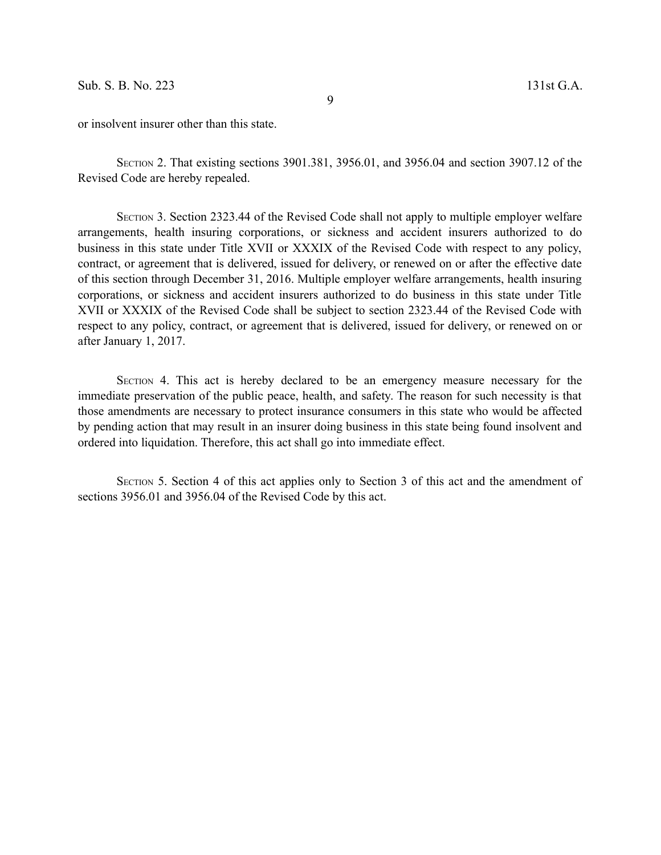or insolvent insurer other than this state.

SECTION 2. That existing sections 3901.381, 3956.01, and 3956.04 and section 3907.12 of the Revised Code are hereby repealed.

SECTION 3. Section 2323.44 of the Revised Code shall not apply to multiple employer welfare arrangements, health insuring corporations, or sickness and accident insurers authorized to do business in this state under Title XVII or XXXIX of the Revised Code with respect to any policy, contract, or agreement that is delivered, issued for delivery, or renewed on or after the effective date of this section through December 31, 2016. Multiple employer welfare arrangements, health insuring corporations, or sickness and accident insurers authorized to do business in this state under Title XVII or XXXIX of the Revised Code shall be subject to section 2323.44 of the Revised Code with respect to any policy, contract, or agreement that is delivered, issued for delivery, or renewed on or after January 1, 2017.

SECTION 4. This act is hereby declared to be an emergency measure necessary for the immediate preservation of the public peace, health, and safety. The reason for such necessity is that those amendments are necessary to protect insurance consumers in this state who would be affected by pending action that may result in an insurer doing business in this state being found insolvent and ordered into liquidation. Therefore, this act shall go into immediate effect.

SECTION 5. Section 4 of this act applies only to Section 3 of this act and the amendment of sections 3956.01 and 3956.04 of the Revised Code by this act.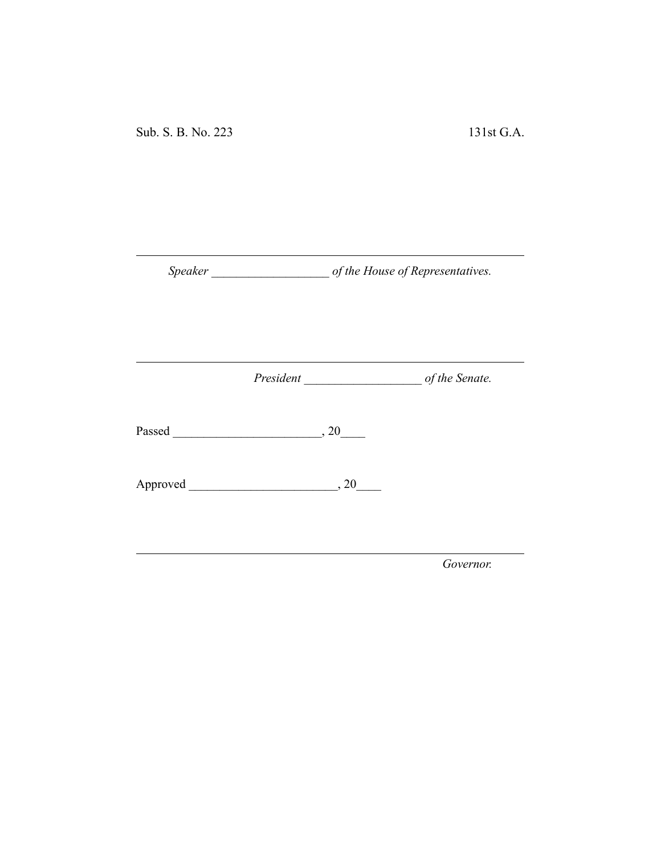*Speaker \_\_\_\_\_\_\_\_\_\_\_\_\_\_\_\_\_\_\_ of the House of Representatives.*

*President \_\_\_\_\_\_\_\_\_\_\_\_\_\_\_\_\_\_\_ of the Senate.*

Passed \_\_\_\_\_\_\_\_\_\_\_\_\_\_\_\_\_\_\_\_\_\_\_\_, 20\_\_\_\_

Approved \_\_\_\_\_\_\_\_\_\_\_\_\_\_\_\_\_\_\_\_\_\_\_\_, 20\_\_\_\_

*Governor.*